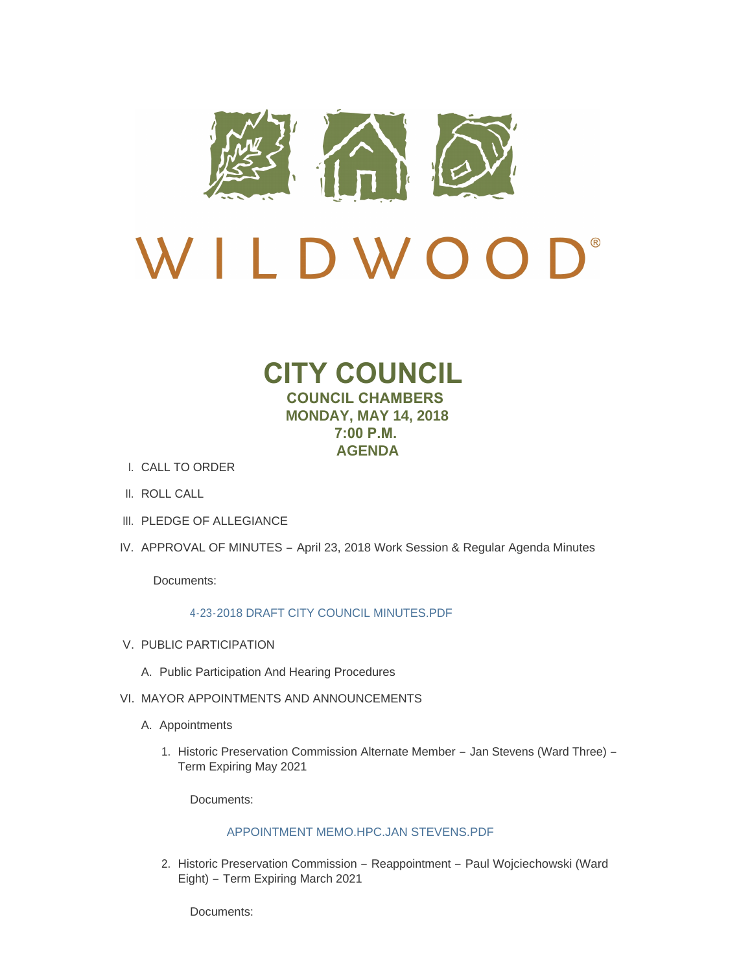

# $\bigcup$ LDWOO  $\sqrt{}$   $\,$

# **CITY COUNCIL COUNCIL CHAMBERS MONDAY, MAY 14, 2018 7:00 P.M. AGENDA**

- CALL TO ORDER I.
- II. ROLL CALL
- III. PLEDGE OF ALLEGIANCE
- IV. APPROVAL OF MINUTES April 23, 2018 Work Session & Regular Agenda Minutes

Documents:

# [4-23-2018 DRAFT CITY COUNCIL MINUTES.PDF](http://www.cityofwildwood.com/AgendaCenter/ViewFile/Item/15413?fileID=20787)

- V. PUBLIC PARTICIPATION
	- A. Public Participation And Hearing Procedures
- VI. MAYOR APPOINTMENTS AND ANNOUNCEMENTS
	- A. Appointments
		- 1. Historic Preservation Commission Alternate Member Jan Stevens (Ward Three) -Term Expiring May 2021

Documents:

# [APPOINTMENT MEMO.HPC.JAN STEVENS.PDF](http://www.cityofwildwood.com/AgendaCenter/ViewFile/Item/15518?fileID=20828)

2. Historic Preservation Commission - Reappointment - Paul Wojciechowski (Ward Eight) – Term Expiring March 2021

Documents: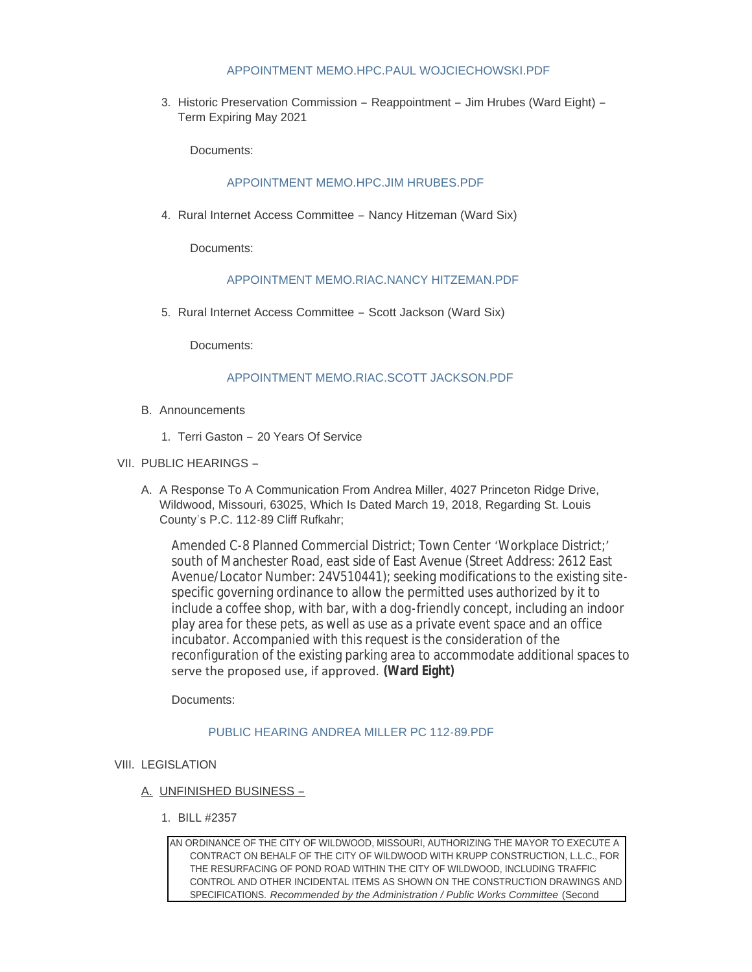# [APPOINTMENT MEMO.HPC.PAUL WOJCIECHOWSKI.PDF](http://www.cityofwildwood.com/AgendaCenter/ViewFile/Item/15519?fileID=20829)

3. Historic Preservation Commission - Reappointment - Jim Hrubes (Ward Eight) -Term Expiring May 2021

Documents:

# [APPOINTMENT MEMO.HPC.JIM HRUBES.PDF](http://www.cityofwildwood.com/AgendaCenter/ViewFile/Item/15520?fileID=20830)

4. Rural Internet Access Committee - Nancy Hitzeman (Ward Six)

Documents:

## [APPOINTMENT MEMO.RIAC.NANCY HITZEMAN.PDF](http://www.cityofwildwood.com/AgendaCenter/ViewFile/Item/15521?fileID=20831)

5. Rural Internet Access Committee - Scott Jackson (Ward Six)

Documents:

# [APPOINTMENT MEMO.RIAC.SCOTT JACKSON.PDF](http://www.cityofwildwood.com/AgendaCenter/ViewFile/Item/15522?fileID=20832)

- B. Announcements
	- 1. Terri Gaston 20 Years Of Service
- VII. PUBLIC HEARINGS
	- A. A Response To A Communication From Andrea Miller, 4027 Princeton Ridge Drive, Wildwood, Missouri, 63025, Which Is Dated March 19, 2018, Regarding St. Louis County's P.C. 112-89 Cliff Rufkahr;

Amended C-8 Planned Commercial District; Town Center 'Workplace District;' south of Manchester Road, east side of East Avenue (Street Address: 2612 East Avenue/Locator Number: 24V510441); seeking modifications to the existing sitespecific governing ordinance to allow the permitted uses authorized by it to include a coffee shop, with bar, with a dog-friendly concept, including an indoor play area for these pets, as well as use as a private event space and an office incubator. Accompanied with this request is the consideration of the reconfiguration of the existing parking area to accommodate additional spaces to serve the proposed use, if approved. **(Ward Eight)**

Documents:

# [PUBLIC HEARING ANDREA MILLER PC 112-89.PDF](http://www.cityofwildwood.com/AgendaCenter/ViewFile/Item/15426?fileID=20788)

## VIII. LEGISLATION

- <u>A. UNFINISHED BUSINESS –</u>
	- BILL #2357 1.
	- AN ORDINANCE OF THE CITY OF WILDWOOD, MISSOURI, AUTHORIZING THE MAYOR TO EXECUTE A CONTRACT ON BEHALF OF THE CITY OF WILDWOOD WITH KRUPP CONSTRUCTION, L.L.C., FOR THE RESURFACING OF POND ROAD WITHIN THE CITY OF WILDWOOD, INCLUDING TRAFFIC CONTROL AND OTHER INCIDENTAL ITEMS AS SHOWN ON THE CONSTRUCTION DRAWINGS AND SPECIFICATIONS. *Recommended by the Administration / Public Works Committee* (Second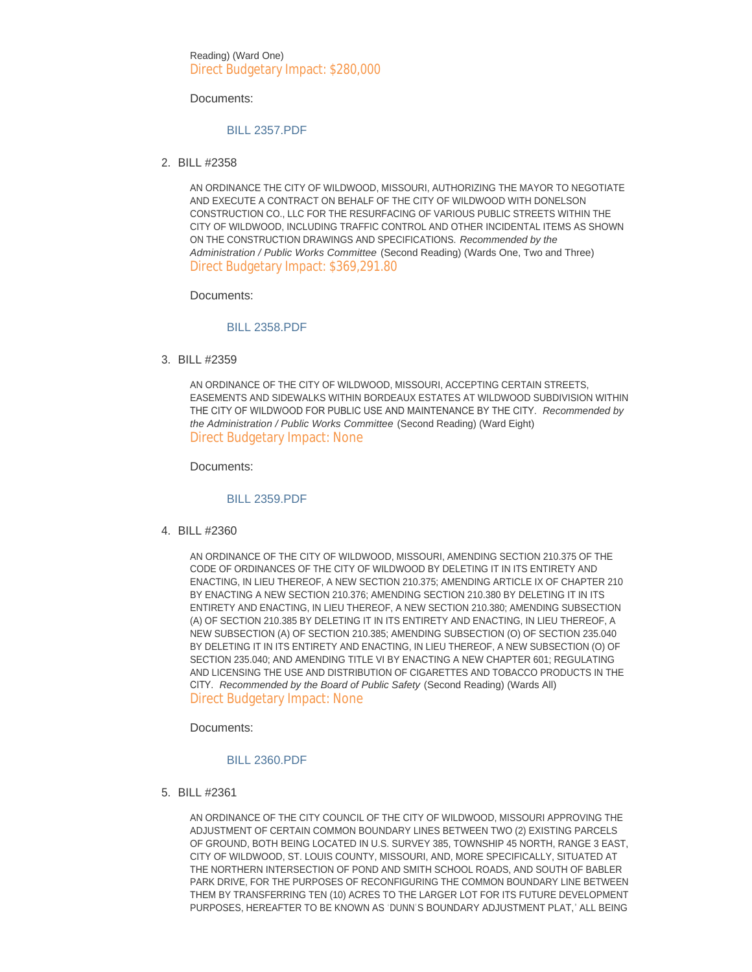Reading) (Ward One) Direct Budgetary Impact: \$280,000

Documents:

## [BILL 2357.PDF](http://www.cityofwildwood.com/AgendaCenter/ViewFile/Item/15429?fileID=20789)

BILL #2358 2.

AN ORDINANCE THE CITY OF WILDWOOD, MISSOURI, AUTHORIZING THE MAYOR TO NEGOTIATE AND EXECUTE A CONTRACT ON BEHALF OF THE CITY OF WILDWOOD WITH DONELSON CONSTRUCTION CO., LLC FOR THE RESURFACING OF VARIOUS PUBLIC STREETS WITHIN THE CITY OF WILDWOOD, INCLUDING TRAFFIC CONTROL AND OTHER INCIDENTAL ITEMS AS SHOWN ON THE CONSTRUCTION DRAWINGS AND SPECIFICATIONS. *Recommended by the Administration / Public Works Committee* (Second Reading) (Wards One, Two and Three) Direct Budgetary Impact: \$369,291.80

Documents:

# [BILL 2358.PDF](http://www.cityofwildwood.com/AgendaCenter/ViewFile/Item/15430?fileID=20790)

BILL #2359 3.

AN ORDINANCE OF THE CITY OF WILDWOOD, MISSOURI, ACCEPTING CERTAIN STREETS, EASEMENTS AND SIDEWALKS WITHIN BORDEAUX ESTATES AT WILDWOOD SUBDIVISION WITHIN THE CITY OF WILDWOOD FOR PUBLIC USE AND MAINTENANCE BY THE CITY. *Recommended by the Administration / Public Works Committee* (Second Reading) (Ward Eight) Direct Budgetary Impact: None

Documents:

## [BILL 2359.PDF](http://www.cityofwildwood.com/AgendaCenter/ViewFile/Item/15431?fileID=20791)

BILL #2360 4.

AN ORDINANCE OF THE CITY OF WILDWOOD, MISSOURI, AMENDING SECTION 210.375 OF THE CODE OF ORDINANCES OF THE CITY OF WILDWOOD BY DELETING IT IN ITS ENTIRETY AND ENACTING, IN LIEU THEREOF, A NEW SECTION 210.375; AMENDING ARTICLE IX OF CHAPTER 210 BY ENACTING A NEW SECTION 210.376; AMENDING SECTION 210.380 BY DELETING IT IN ITS ENTIRETY AND ENACTING, IN LIEU THEREOF, A NEW SECTION 210.380; AMENDING SUBSECTION (A) OF SECTION 210.385 BY DELETING IT IN ITS ENTIRETY AND ENACTING, IN LIEU THEREOF, A NEW SUBSECTION (A) OF SECTION 210.385; AMENDING SUBSECTION (O) OF SECTION 235.040 BY DELETING IT IN ITS ENTIRETY AND ENACTING, IN LIEU THEREOF, A NEW SUBSECTION (O) OF SECTION 235.040; AND AMENDING TITLE VI BY ENACTING A NEW CHAPTER 601; REGULATING AND LICENSING THE USE AND DISTRIBUTION OF CIGARETTES AND TOBACCO PRODUCTS IN THE CITY. *Recommended by the Board of Public Safety* (Second Reading) (Wards All) Direct Budgetary Impact: None

Documents:

#### [BILL 2360.PDF](http://www.cityofwildwood.com/AgendaCenter/ViewFile/Item/15432?fileID=20792)

BILL #2361 5.

AN ORDINANCE OF THE CITY COUNCIL OF THE CITY OF WILDWOOD, MISSOURI APPROVING THE ADJUSTMENT OF CERTAIN COMMON BOUNDARY LINES BETWEEN TWO (2) EXISTING PARCELS OF GROUND, BOTH BEING LOCATED IN U.S. SURVEY 385, TOWNSHIP 45 NORTH, RANGE 3 EAST, CITY OF WILDWOOD, ST. LOUIS COUNTY, MISSOURI, AND, MORE SPECIFICALLY, SITUATED AT THE NORTHERN INTERSECTION OF POND AND SMITH SCHOOL ROADS, AND SOUTH OF BABLER PARK DRIVE, FOR THE PURPOSES OF RECONFIGURING THE COMMON BOUNDARY LINE BETWEEN THEM BY TRANSFERRING TEN (10) ACRES TO THE LARGER LOT FOR ITS FUTURE DEVELOPMENT PURPOSES, HEREAFTER TO BE KNOWN AS 'DUNN'S BOUNDARY ADJUSTMENT PLAT,' ALL BEING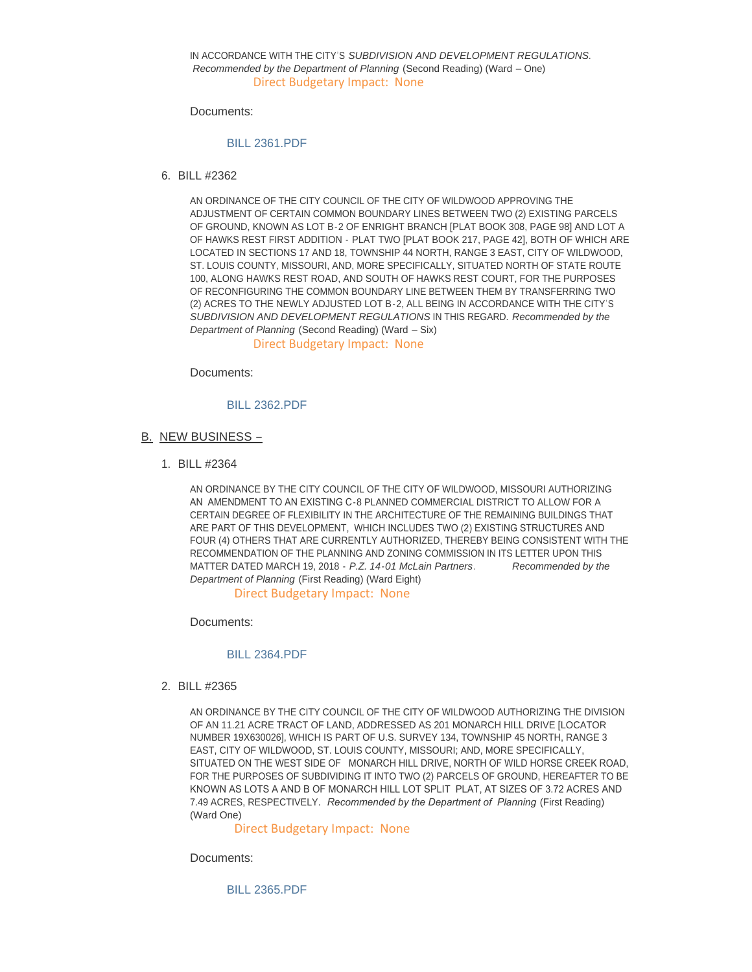#### IN ACCORDANCE WITH THE CITY'S *SUBDIVISION AND DEVELOPMENT REGULATIONS*. *Recommended by the Department of Planning* (Second Reading) (Ward – One) Direct Budgetary Impact: None

Documents:

#### [BILL 2361.PDF](http://www.cityofwildwood.com/AgendaCenter/ViewFile/Item/15433?fileID=20793)

BILL #2362 6.

AN ORDINANCE OF THE CITY COUNCIL OF THE CITY OF WILDWOOD APPROVING THE ADJUSTMENT OF CERTAIN COMMON BOUNDARY LINES BETWEEN TWO (2) EXISTING PARCELS OF GROUND, KNOWN AS LOT B-2 OF ENRIGHT BRANCH [PLAT BOOK 308, PAGE 98] AND LOT A OF HAWKS REST FIRST ADDITION - PLAT TWO [PLAT BOOK 217, PAGE 42], BOTH OF WHICH ARE LOCATED IN SECTIONS 17 AND 18, TOWNSHIP 44 NORTH, RANGE 3 EAST, CITY OF WILDWOOD, ST. LOUIS COUNTY, MISSOURI, AND, MORE SPECIFICALLY, SITUATED NORTH OF STATE ROUTE 100, ALONG HAWKS REST ROAD, AND SOUTH OF HAWKS REST COURT, FOR THE PURPOSES OF RECONFIGURING THE COMMON BOUNDARY LINE BETWEEN THEM BY TRANSFERRING TWO (2) ACRES TO THE NEWLY ADJUSTED LOT B-2, ALL BEING IN ACCORDANCE WITH THE CITY'S *SUBDIVISION AND DEVELOPMENT REGULATIONS* IN THIS REGARD. *Recommended by the Department of Planning* (Second Reading) (Ward – Six)

Direct Budgetary Impact: None

Documents:

#### [BILL 2362.PDF](http://www.cityofwildwood.com/AgendaCenter/ViewFile/Item/15434?fileID=20794)

# <u>B. NEW BUSINESS –</u>

BILL #2364 1.

AN ORDINANCE BY THE CITY COUNCIL OF THE CITY OF WILDWOOD, MISSOURI AUTHORIZING AN AMENDMENT TO AN EXISTING C-8 PLANNED COMMERCIAL DISTRICT TO ALLOW FOR A CERTAIN DEGREE OF FLEXIBILITY IN THE ARCHITECTURE OF THE REMAINING BUILDINGS THAT ARE PART OF THIS DEVELOPMENT, WHICH INCLUDES TWO (2) EXISTING STRUCTURES AND FOUR (4) OTHERS THAT ARE CURRENTLY AUTHORIZED, THEREBY BEING CONSISTENT WITH THE RECOMMENDATION OF THE PLANNING AND ZONING COMMISSION IN ITS LETTER UPON THIS MATTER DATED MARCH 19, 2018 - *P.Z. 14-01 McLain Partners*. *Recommended by the Department of Planning* (First Reading) (Ward Eight)

Direct Budgetary Impact: None

Documents:

#### [BILL 2364.PDF](http://www.cityofwildwood.com/AgendaCenter/ViewFile/Item/15436?fileID=20795)

BILL #2365 2.

AN ORDINANCE BY THE CITY COUNCIL OF THE CITY OF WILDWOOD AUTHORIZING THE DIVISION OF AN 11.21 ACRE TRACT OF LAND, ADDRESSED AS 201 MONARCH HILL DRIVE [LOCATOR NUMBER 19X630026], WHICH IS PART OF U.S. SURVEY 134, TOWNSHIP 45 NORTH, RANGE 3 EAST, CITY OF WILDWOOD, ST. LOUIS COUNTY, MISSOURI; AND, MORE SPECIFICALLY, SITUATED ON THE WEST SIDE OF MONARCH HILL DRIVE, NORTH OF WILD HORSE CREEK ROAD, FOR THE PURPOSES OF SUBDIVIDING IT INTO TWO (2) PARCELS OF GROUND, HEREAFTER TO BE KNOWN AS LOTS A AND B OF MONARCH HILL LOT SPLIT PLAT, AT SIZES OF 3.72 ACRES AND 7.49 ACRES, RESPECTIVELY. *Recommended by the Department of Planning* (First Reading) (Ward One)

Direct Budgetary Impact: None

Documents:

[BILL 2365.PDF](http://www.cityofwildwood.com/AgendaCenter/ViewFile/Item/15437?fileID=20796)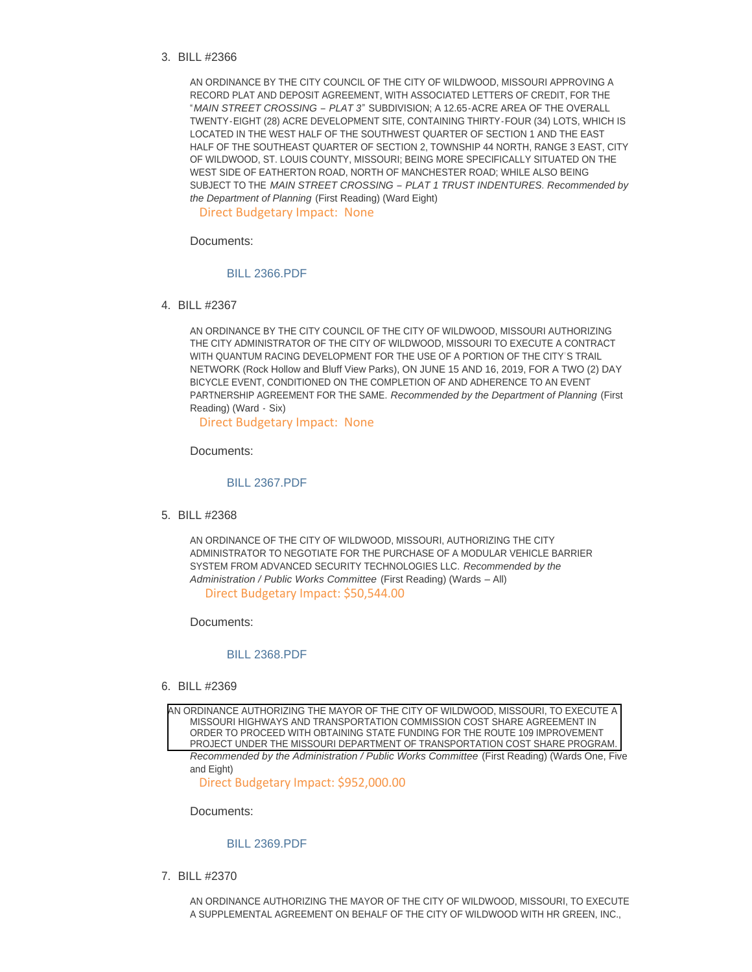BILL #2366 3.

AN ORDINANCE BY THE CITY COUNCIL OF THE CITY OF WILDWOOD, MISSOURI APPROVING A RECORD PLAT AND DEPOSIT AGREEMENT, WITH ASSOCIATED LETTERS OF CREDIT, FOR THE "*MAIN STREET CROSSING – PLAT 3*" SUBDIVISION; A 12.65-ACRE AREA OF THE OVERALL TWENTY-EIGHT (28) ACRE DEVELOPMENT SITE, CONTAINING THIRTY-FOUR (34) LOTS, WHICH IS LOCATED IN THE WEST HALF OF THE SOUTHWEST QUARTER OF SECTION 1 AND THE EAST HALF OF THE SOUTHEAST QUARTER OF SECTION 2, TOWNSHIP 44 NORTH, RANGE 3 EAST, CITY OF WILDWOOD, ST. LOUIS COUNTY, MISSOURI; BEING MORE SPECIFICALLY SITUATED ON THE WEST SIDE OF EATHERTON ROAD, NORTH OF MANCHESTER ROAD; WHILE ALSO BEING SUBJECT TO THE *MAIN STREET CROSSING – PLAT 1 TRUST INDENTURES*. *Recommended by the Department of Planning* (First Reading) (Ward Eight)

Direct Budgetary Impact: None

Documents:

#### [BILL 2366.PDF](http://www.cityofwildwood.com/AgendaCenter/ViewFile/Item/15438?fileID=20797)

BILL #2367 4.

AN ORDINANCE BY THE CITY COUNCIL OF THE CITY OF WILDWOOD, MISSOURI AUTHORIZING THE CITY ADMINISTRATOR OF THE CITY OF WILDWOOD, MISSOURI TO EXECUTE A CONTRACT WITH QUANTUM RACING DEVELOPMENT FOR THE USE OF A PORTION OF THE CITY'S TRAIL NETWORK (Rock Hollow and Bluff View Parks), ON JUNE 15 AND 16, 2019, FOR A TWO (2) DAY BICYCLE EVENT, CONDITIONED ON THE COMPLETION OF AND ADHERENCE TO AN EVENT PARTNERSHIP AGREEMENT FOR THE SAME. *Recommended by the Department of Planning* (First Reading) (Ward - Six)

Direct Budgetary Impact: None

Documents:

[BILL 2367.PDF](http://www.cityofwildwood.com/AgendaCenter/ViewFile/Item/15439?fileID=20798)

BILL #2368 5.

AN ORDINANCE OF THE CITY OF WILDWOOD, MISSOURI, AUTHORIZING THE CITY ADMINISTRATOR TO NEGOTIATE FOR THE PURCHASE OF A MODULAR VEHICLE BARRIER SYSTEM FROM ADVANCED SECURITY TECHNOLOGIES LLC. *Recommended by the Administration / Public Works Committee* (First Reading) (Wards – All) Direct Budgetary Impact: \$50,544.00

Documents:

#### [BILL 2368.PDF](http://www.cityofwildwood.com/AgendaCenter/ViewFile/Item/15440?fileID=20799)

BILL #2369 6.

AN ORDINANCE AUTHORIZING THE MAYOR OF THE CITY OF WILDWOOD, MISSOURI, TO EXECUTE A MISSOURI HIGHWAYS AND TRANSPORTATION COMMISSION COST SHARE AGREEMENT IN ORDER TO PROCEED WITH OBTAINING STATE FUNDING FOR THE ROUTE 109 IMPROVEMENT PROJECT UNDER THE MISSOURI DEPARTMENT OF TRANSPORTATION COST SHARE PROGRAM. *Recommended by the Administration / Public Works Committee* (First Reading) (Wards One, Five and Eight)

Direct Budgetary Impact: \$952,000.00

Documents:

#### [BILL 2369.PDF](http://www.cityofwildwood.com/AgendaCenter/ViewFile/Item/15441?fileID=20800)

BILL #2370 7.

AN ORDINANCE AUTHORIZING THE MAYOR OF THE CITY OF WILDWOOD, MISSOURI, TO EXECUTE A SUPPLEMENTAL AGREEMENT ON BEHALF OF THE CITY OF WILDWOOD WITH HR GREEN, INC.,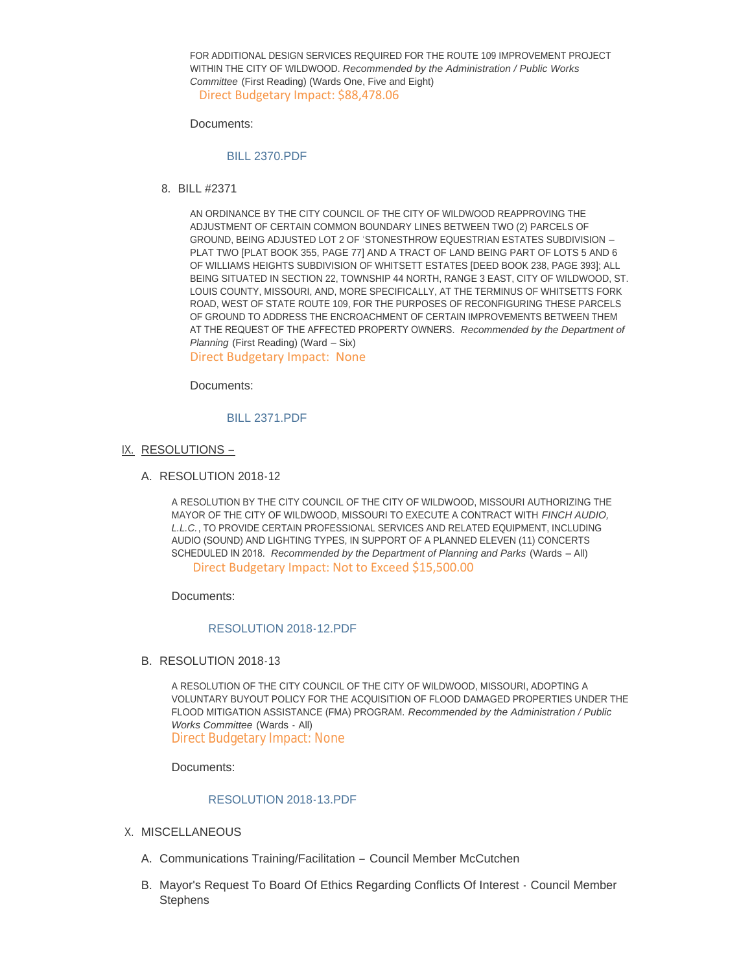FOR ADDITIONAL DESIGN SERVICES REQUIRED FOR THE ROUTE 109 IMPROVEMENT PROJECT WITHIN THE CITY OF WILDWOOD. *Recommended by the Administration / Public Works Committee* (First Reading) (Wards One, Five and Eight) Direct Budgetary Impact: \$88,478.06

Documents:

## [BILL 2370.PDF](http://www.cityofwildwood.com/AgendaCenter/ViewFile/Item/15442?fileID=20801)

BILL #2371 8.

AN ORDINANCE BY THE CITY COUNCIL OF THE CITY OF WILDWOOD REAPPROVING THE ADJUSTMENT OF CERTAIN COMMON BOUNDARY LINES BETWEEN TWO (2) PARCELS OF GROUND, BEING ADJUSTED LOT 2 OF 'STONESTHROW EQUESTRIAN ESTATES SUBDIVISION – PLAT TWO [PLAT BOOK 355, PAGE 77] AND A TRACT OF LAND BEING PART OF LOTS 5 AND 6 OF WILLIAMS HEIGHTS SUBDIVISION OF WHITSETT ESTATES [DEED BOOK 238, PAGE 393]; ALL BEING SITUATED IN SECTION 22, TOWNSHIP 44 NORTH, RANGE 3 EAST, CITY OF WILDWOOD, ST. LOUIS COUNTY, MISSOURI, AND, MORE SPECIFICALLY, AT THE TERMINUS OF WHITSETTS FORK ROAD, WEST OF STATE ROUTE 109, FOR THE PURPOSES OF RECONFIGURING THESE PARCELS OF GROUND TO ADDRESS THE ENCROACHMENT OF CERTAIN IMPROVEMENTS BETWEEN THEM AT THE REQUEST OF THE AFFECTED PROPERTY OWNERS. *Recommended by the Department of Planning* (First Reading) (Ward – Six)

Direct Budgetary Impact: None

Documents:

#### [BILL 2371.PDF](http://www.cityofwildwood.com/AgendaCenter/ViewFile/Item/15443?fileID=20802)

- <u>IX. RESOLUTIONS –</u>
	- A. RESOLUTION 2018-12

A RESOLUTION BY THE CITY COUNCIL OF THE CITY OF WILDWOOD, MISSOURI AUTHORIZING THE MAYOR OF THE CITY OF WILDWOOD, MISSOURI TO EXECUTE A CONTRACT WITH *FINCH AUDIO, L.L.C.*, TO PROVIDE CERTAIN PROFESSIONAL SERVICES AND RELATED EQUIPMENT, INCLUDING AUDIO (SOUND) AND LIGHTING TYPES, IN SUPPORT OF A PLANNED ELEVEN (11) CONCERTS SCHEDULED IN 2018. *Recommended by the Department of Planning and Parks* (Wards – All) Direct Budgetary Impact: Not to Exceed \$15,500.00

Documents:

## [RESOLUTION 2018-12.PDF](http://www.cityofwildwood.com/AgendaCenter/ViewFile/Item/15445?fileID=20803)

B. RESOLUTION 2018-13

A RESOLUTION OF THE CITY COUNCIL OF THE CITY OF WILDWOOD, MISSOURI, ADOPTING A VOLUNTARY BUYOUT POLICY FOR THE ACQUISITION OF FLOOD DAMAGED PROPERTIES UNDER THE FLOOD MITIGATION ASSISTANCE (FMA) PROGRAM. *Recommended by the Administration / Public Works Committee* (Wards - All) Direct Budgetary Impact: None

Documents:

## [RESOLUTION 2018-13.PDF](http://www.cityofwildwood.com/AgendaCenter/ViewFile/Item/15446?fileID=20804)

- X. MISCELLANEOUS
	- A. Communications Training/Facilitation Council Member McCutchen
	- B. Mayor's Request To Board Of Ethics Regarding Conflicts Of Interest Council Member **Stephens**